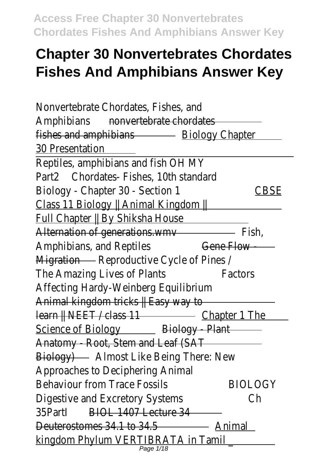# **Chapter 30 Nonvertebrates Chordates Fishes And Amphibians Answer Key**

| Nonvertebrate Chordates, Fishes, and                                                                                                                                                                                                |                |
|-------------------------------------------------------------------------------------------------------------------------------------------------------------------------------------------------------------------------------------|----------------|
| <b>Amphibians</b><br>nonvertebrate chordates                                                                                                                                                                                        |                |
| fishes and amphibians <b>Example 20</b> Biology Chapter                                                                                                                                                                             |                |
| <b>30 Presentation</b>                                                                                                                                                                                                              |                |
| Reptiles, amphibians and fish OH MY                                                                                                                                                                                                 |                |
| Part2 Chordates-Fishes, 10th standard                                                                                                                                                                                               |                |
| Biology - Chapter 30 - Section 1                                                                                                                                                                                                    | CBSE           |
| Class 11 Biology    Animal Kingdom    <b>Wingdom    Wingdom    Wingdom   </b> Wingdom    Wingdom    Wingdom    Wingdom    Wingdom    Wingdom    Wingdom    Wingdom    Wingdom    Wingdom    Wingdom    Wingdom    Wingdom    Wingdo |                |
| Full Chapter    By Shiksha House                                                                                                                                                                                                    |                |
| Alternation of generations.wmv                                                                                                                                                                                                      |                |
| Amphibians, and Reptiles                                                                                                                                                                                                            | Gene Flow -    |
| Migration Reproductive Cycle of Pines /                                                                                                                                                                                             |                |
| The Amazing Lives of Plants                                                                                                                                                                                                         | Factors        |
| Affecting Hardy-Weinberg Equilibrium                                                                                                                                                                                                |                |
|                                                                                                                                                                                                                                     |                |
|                                                                                                                                                                                                                                     |                |
| Science of Biology <b>Example 20 Biology - Plant</b>                                                                                                                                                                                |                |
| Anatomy - Root, Stem and Leaf (SAT                                                                                                                                                                                                  |                |
| Biology) Almost Like Being There: New                                                                                                                                                                                               |                |
| Approaches to Deciphering Animal                                                                                                                                                                                                    |                |
| <b>Behaviour from Trace Fossils</b>                                                                                                                                                                                                 | <b>BIOLOGY</b> |
| Digestive and Excretory Systems                                                                                                                                                                                                     | Сh             |
| 35Partl<br>BIOL 1407 Lecture 34                                                                                                                                                                                                     |                |
| Deuterostomes 34.1 to 34.5                                                                                                                                                                                                          |                |
| kingdom Phylum VERTIBRATA in Tamil<br>Page 1/18                                                                                                                                                                                     |                |
|                                                                                                                                                                                                                                     |                |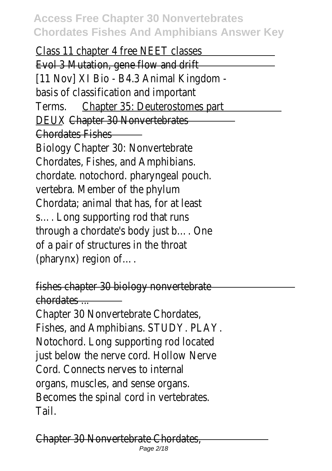Class 11 chapter 4 free NEET classes Evol 3 Mutation, gene flow and drift [11 Nov] XI Bio - B4.3 Animal Kingdom basis of classification and important Terms. Chapter 35: Deuterostomes part DEUX Chapter 30 Nonvertebrates Chordates Fishes Biology Chapter 30: Nonvertebrate Chordates, Fishes, and Amphibians. chordate. notochord. pharyngeal pouch. vertebra. Member of the phylum Chordata; animal that has, for at least s…. Long supporting rod that runs through a chordate's body just b…. One of a pair of structures in the throat (pharynx) region of….

fishes chapter 30 biology nonvertebrate chordates ... Chapter 30 Nonvertebrate Chordates, Fishes, and Amphibians. STUDY. PLAY. Notochord. Long supporting rod located just below the nerve cord. Hollow Nerve Cord. Connects nerves to internal organs, muscles, and sense organs. Becomes the spinal cord in vertebrates. Tail.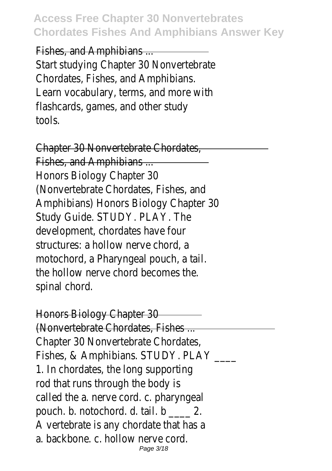Fishes, and Amphibians ... Start studying Chapter 30 Nonvertebrate Chordates, Fishes, and Amphibians. Learn vocabulary, terms, and more with flashcards, games, and other study tools.

Chapter 30 Nonvertebrate Chordates, Fishes, and Amphibians ... Honors Biology Chapter 30 (Nonvertebrate Chordates, Fishes, and Amphibians) Honors Biology Chapter 30 Study Guide. STUDY. PLAY. The development, chordates have four structures: a hollow nerve chord, a motochord, a Pharyngeal pouch, a tail. the hollow nerve chord becomes the. spinal chord.

Honors Biology Chapter 30 (Nonvertebrate Chordates, Fishes ... Chapter 30 Nonvertebrate Chordates, Fishes, & Amphibians. STUDY. PLAY \_\_\_\_ 1. In chordates, the long supporting rod that runs through the body is called the a. nerve cord. c. pharyngeal pouch. b. notochord. d. tail. b 2. A vertebrate is any chordate that has a a. backbone. c. hollow nerve cord. Page 3/18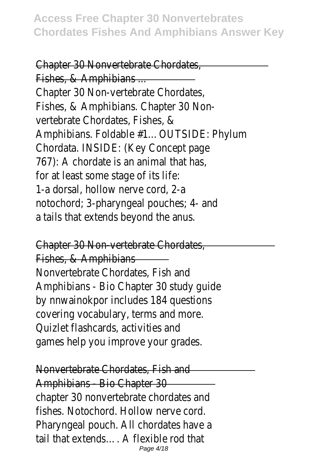Chapter 30 Nonvertebrate Chordates, Fishes, & Amphibians ... Chapter 30 Non-vertebrate Chordates, Fishes, & Amphibians. Chapter 30 Nonvertebrate Chordates, Fishes, & Amphibians. Foldable #1…OUTSIDE: Phylum Chordata. INSIDE: (Key Concept page 767): A chordate is an animal that has, for at least some stage of its life: 1-a dorsal, hollow nerve cord, 2-a notochord; 3-pharyngeal pouches; 4- and a tails that extends beyond the anus.

Chapter 30 Non-vertebrate Chordates,

Fishes, & Amphibians Nonvertebrate Chordates, Fish and Amphibians - Bio Chapter 30 study guide by nnwainokpor includes 184 questions covering vocabulary, terms and more. Quizlet flashcards, activities and games help you improve your grades.

Nonvertebrate Chordates, Fish and Amphibians - Bio Chapter 30 chapter 30 nonvertebrate chordates and fishes. Notochord. Hollow nerve cord. Pharyngeal pouch. All chordates have a tail that extends…. A flexible rod that Page 4/18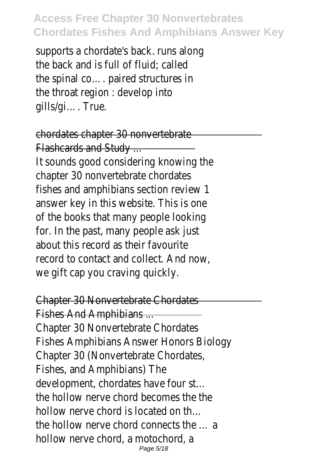supports a chordate's back. runs along the back and is full of fluid; called the spinal co…. paired structures in the throat region : develop into gills/gi…. True.

chordates chapter 30 nonvertebrate Flashcards and Study ... It sounds good considering knowing the chapter 30 nonvertebrate chordates fishes and amphibians section review 1 answer key in this website. This is one of the books that many people looking for. In the past, many people ask just about this record as their favourite record to contact and collect. And now, we gift cap you craving quickly.

Chapter 30 Nonvertebrate Chordates

Fishes And Amphibians ... Chapter 30 Nonvertebrate Chordates Fishes Amphibians Answer Honors Biology Chapter 30 (Nonvertebrate Chordates, Fishes, and Amphibians) The development, chordates have four st… the hollow nerve chord becomes the the hollow nerve chord is located on th… the hollow nerve chord connects the … a hollow nerve chord, a motochord, a Page 5/18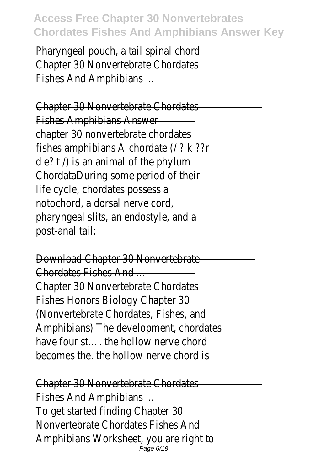Pharyngeal pouch, a tail spinal chord Chapter 30 Nonvertebrate Chordates Fishes And Amphibians ...

Chapter 30 Nonvertebrate Chordates Fishes Amphibians Answer chapter 30 nonvertebrate chordates fishes amphibians A chordate (/ ? k ??r d e? t /) is an animal of the phylum ChordataDuring some period of their life cycle, chordates possess a notochord, a dorsal nerve cord, pharyngeal slits, an endostyle, and a post-anal tail:

Download Chapter 30 Nonvertebrate Chordates Fishes And ... Chapter 30 Nonvertebrate Chordates Fishes Honors Biology Chapter 30 (Nonvertebrate Chordates, Fishes, and Amphibians) The development, chordates have four st…. the hollow nerve chord becomes the. the hollow nerve chord is

Chapter 30 Nonvertebrate Chordates Fishes And Amphibians ... To get started finding Chapter 30 Nonvertebrate Chordates Fishes And Amphibians Worksheet, you are right to Page 6/18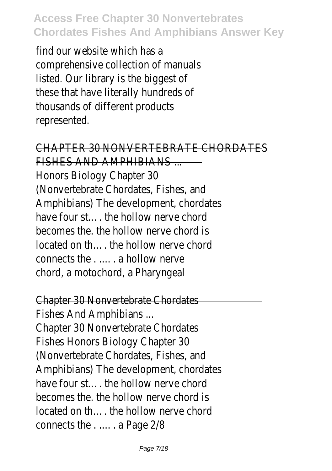find our website which has a comprehensive collection of manuals listed. Our library is the biggest of these that have literally hundreds of thousands of different products represented.

CHAPTER 30 NONVERTEBRATE CHORDATES

FISHES AND AMPHIBIANS ... Honors Biology Chapter 30 (Nonvertebrate Chordates, Fishes, and Amphibians) The development, chordates have four st — the hollow nerve chord becomes the. the hollow nerve chord is located on th…. the hollow nerve chord connects the . .…. a hollow nerve chord, a motochord, a Pharyngeal

Chapter 30 Nonvertebrate Chordates

Fishes And Amphibians ... Chapter 30 Nonvertebrate Chordates Fishes Honors Biology Chapter 30 (Nonvertebrate Chordates, Fishes, and Amphibians) The development, chordates have four st…. the hollow nerve chord becomes the. the hollow nerve chord is located on th…. the hollow nerve chord connects the . .…. a Page 2/8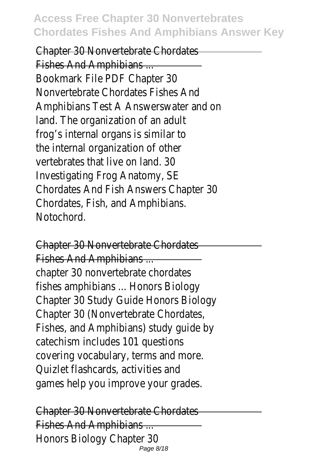Chapter 30 Nonvertebrate Chordates Fishes And Amphibians ... Bookmark File PDF Chapter 30 Nonvertebrate Chordates Fishes And Amphibians Test A Answerswater and on land. The organization of an adult frog's internal organs is similar to the internal organization of other vertebrates that live on land. 30 Investigating Frog Anatomy, SE Chordates And Fish Answers Chapter 30 Chordates, Fish, and Amphibians. **Notochord** 

Chapter 30 Nonvertebrate Chordates Fishes And Amphibians ... chapter 30 nonvertebrate chordates fishes amphibians ... Honors Biology Chapter 30 Study Guide Honors Biology Chapter 30 (Nonvertebrate Chordates, Fishes, and Amphibians) study guide by catechism includes 101 questions covering vocabulary, terms and more. Quizlet flashcards, activities and games help you improve your grades.

Chapter 30 Nonvertebrate Chordates Fishes And Amphibians ... Honors Biology Chapter 30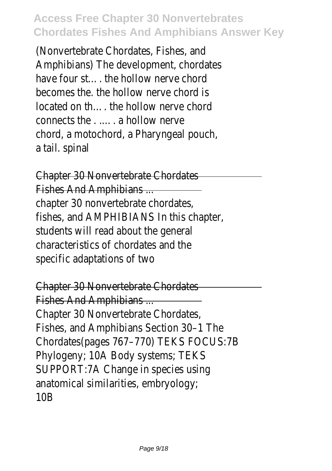(Nonvertebrate Chordates, Fishes, and Amphibians) The development, chordates have four st…. the hollow nerve chord becomes the. the hollow nerve chord is located on th…. the hollow nerve chord connects the . .…. a hollow nerve chord, a motochord, a Pharyngeal pouch, a tail. spinal

Chapter 30 Nonvertebrate Chordates Fishes And Amphibians ... chapter 30 nonvertebrate chordates, fishes, and AMPHIBIANS In this chapter, students will read about the general characteristics of chordates and the specific adaptations of two

Chapter 30 Nonvertebrate Chordates Fishes And Amphibians ... Chapter 30 Nonvertebrate Chordates, Fishes, and Amphibians Section 30–1 The Chordates(pages 767–770) TEKS FOCUS:7B Phylogeny; 10A Body systems; TEKS SUPPORT:7A Change in species using anatomical similarities, embryology;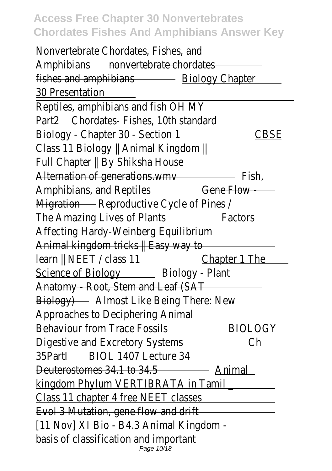| Nonvertebrate Chordates, Fishes, and                                                                                   |                |
|------------------------------------------------------------------------------------------------------------------------|----------------|
| nonvertebrate chordates<br>Amphibians                                                                                  |                |
| fishes and amphibians <b>Example 20</b> Biology Chapter                                                                |                |
| 30 Presentation                                                                                                        |                |
| Reptiles, amphibians and fish OH MY                                                                                    |                |
| Chordates-Fishes, 10th standard<br>Part2                                                                               |                |
| Biology - Chapter 30 - Section 1                                                                                       | <b>CBSE</b>    |
|                                                                                                                        |                |
|                                                                                                                        |                |
|                                                                                                                        |                |
| Amphibians, and Reptiles                                                                                               | Gene Flow-     |
| Migration Reproductive Cycle of Pines /                                                                                |                |
| The Amazing Lives of Plants                                                                                            | Factors        |
| Affecting Hardy-Weinberg Equilibrium                                                                                   |                |
| Animal kingdom tricks    Easy way to                                                                                   |                |
|                                                                                                                        |                |
|                                                                                                                        |                |
|                                                                                                                        |                |
| Biology) <b>No. 2008</b> Almost Like Being There: New                                                                  |                |
| Approaches to Deciphering Animal                                                                                       |                |
| <b>Behaviour from Trace Fossils</b>                                                                                    | <b>BIOLOGY</b> |
| Digestive and Excretory Systems                                                                                        | Ch             |
| BIOL 1407 Lecture 34<br>35Partl                                                                                        |                |
| Deuterostomes 34.1 to 34.5                                                                                             |                |
| <u>kingdom Phylum VERTIBRATA in Tamil and the substitution of the substitution of the substitution of the substitu</u> |                |
| <u>Class 11 chapter 4 free NEET classes</u>                                                                            |                |
| Evol 3 Mutation, gene flow and drift <b>Example 2008</b>                                                               |                |
| [11 Nov] XI Bio - B4.3 Animal Kingdom -                                                                                |                |
|                                                                                                                        |                |
| basis of classification and important<br>Page 10/18                                                                    |                |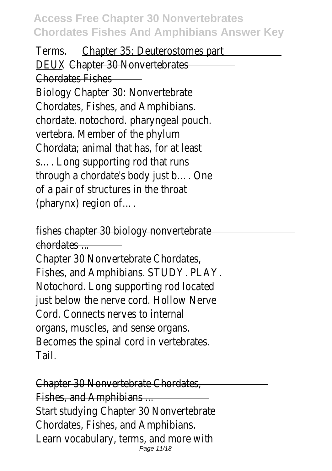Terms. Chapter 35: Deuterostomes part DEUX Chapter 30 Nonvertebrates Chordates Fishes Biology Chapter 30: Nonvertebrate Chordates, Fishes, and Amphibians. chordate. notochord. pharyngeal pouch. vertebra. Member of the phylum Chordata; animal that has, for at least s…. Long supporting rod that runs through a chordate's body just b…. One of a pair of structures in the throat (pharynx) region of….

fishes chapter 30 biology nonvertebrate chordates ... Chapter 30 Nonvertebrate Chordates, Fishes, and Amphibians. STUDY. PLAY. Notochord. Long supporting rod located just below the nerve cord. Hollow Nerve Cord. Connects nerves to internal organs, muscles, and sense organs. Becomes the spinal cord in vertebrates. Tail.

Chapter 30 Nonvertebrate Chordates, Fishes, and Amphibians ... Start studying Chapter 30 Nonvertebrate Chordates, Fishes, and Amphibians. Learn vocabulary, terms, and more with Page 11/18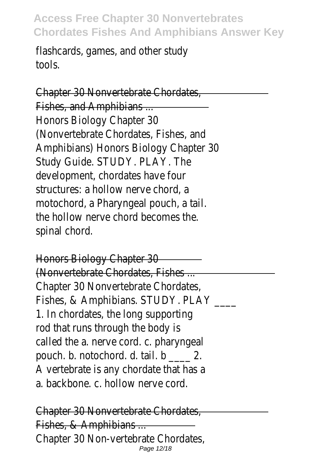flashcards, games, and other study tools.

Chapter 30 Nonvertebrate Chordates, Fishes, and Amphibians ... Honors Biology Chapter 30 (Nonvertebrate Chordates, Fishes, and Amphibians) Honors Biology Chapter 30 Study Guide. STUDY. PLAY. The development, chordates have four structures: a hollow nerve chord, a motochord, a Pharyngeal pouch, a tail. the hollow nerve chord becomes the. spinal chord.

Honors Biology Chapter 30 (Nonvertebrate Chordates, Fishes ... Chapter 30 Nonvertebrate Chordates, Fishes, & Amphibians. STUDY. PLAY \_\_\_\_ 1. In chordates, the long supporting rod that runs through the body is called the a. nerve cord. c. pharyngeal pouch. b. notochord. d. tail. b \_\_\_\_ 2. A vertebrate is any chordate that has a a. backbone. c. hollow nerve cord.

Chapter 30 Nonvertebrate Chordates, Fishes, & Amphibians ... Chapter 30 Non-vertebrate Chordates, Page 12/18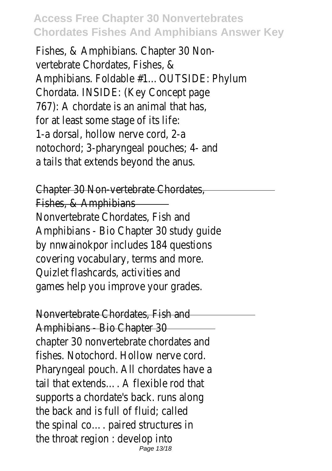Fishes, & Amphibians. Chapter 30 Nonvertebrate Chordates, Fishes, & Amphibians. Foldable #1…OUTSIDE: Phylum Chordata. INSIDE: (Key Concept page 767): A chordate is an animal that has, for at least some stage of its life: 1-a dorsal, hollow nerve cord, 2-a notochord; 3-pharyngeal pouches; 4- and a tails that extends beyond the anus.

Chapter 30 Non-vertebrate Chordates, Fishes, & Amphibians Nonvertebrate Chordates, Fish and Amphibians - Bio Chapter 30 study guide by nnwainokpor includes 184 questions covering vocabulary, terms and more. Quizlet flashcards, activities and games help you improve your grades.

Nonvertebrate Chordates, Fish and Amphibians - Bio Chapter 30 chapter 30 nonvertebrate chordates and fishes. Notochord. Hollow nerve cord. Pharyngeal pouch. All chordates have a tail that extends…. A flexible rod that supports a chordate's back. runs along the back and is full of fluid; called the spinal co…. paired structures in the throat region : develop into Page 13/18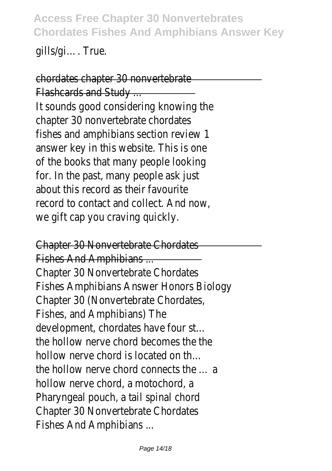gills/gi…. True.

chordates chapter 30 nonvertebrate Flashcards and Study ... It sounds good considering knowing the chapter 30 nonvertebrate chordates fishes and amphibians section review 1 answer key in this website. This is one of the books that many people looking for. In the past, many people ask just about this record as their favourite record to contact and collect. And now, we gift cap you craving quickly.

Chapter 30 Nonvertebrate Chordates

Fishes And Amphibians ... Chapter 30 Nonvertebrate Chordates Fishes Amphibians Answer Honors Biology Chapter 30 (Nonvertebrate Chordates, Fishes, and Amphibians) The development, chordates have four st… the hollow nerve chord becomes the the hollow nerve chord is located on th… the hollow nerve chord connects the … a hollow nerve chord, a motochord, a Pharyngeal pouch, a tail spinal chord Chapter 30 Nonvertebrate Chordates Fishes And Amphibians ...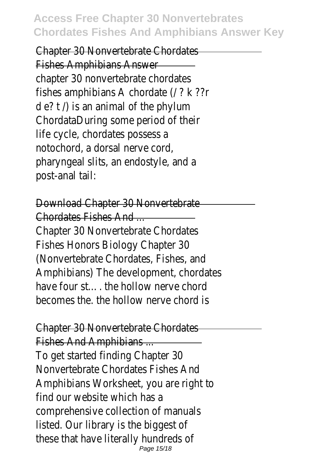Chapter 30 Nonvertebrate Chordates Fishes Amphibians Answer chapter 30 nonvertebrate chordates fishes amphibians A chordate (/ ? k ??r  $d \cdot e$ ? t  $\land$  is an animal of the phylum ChordataDuring some period of their life cycle, chordates possess a notochord, a dorsal nerve cord, pharyngeal slits, an endostyle, and a post-anal tail:

Download Chapter 30 Nonvertebrate Chordates Fishes And ... Chapter 30 Nonvertebrate Chordates Fishes Honors Biology Chapter 30 (Nonvertebrate Chordates, Fishes, and Amphibians) The development, chordates have four st — the hollow nerve chord becomes the. the hollow nerve chord is

Chapter 30 Nonvertebrate Chordates

Fishes And Amphibians ... To get started finding Chapter 30 Nonvertebrate Chordates Fishes And Amphibians Worksheet, you are right to find our website which has a comprehensive collection of manuals listed. Our library is the biggest of these that have literally hundreds of Page 15/18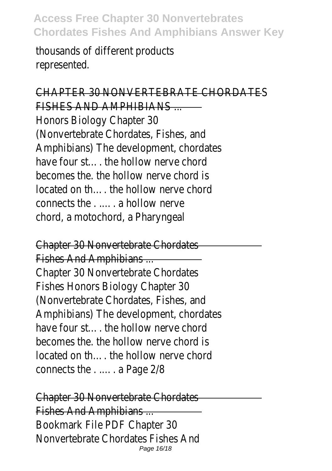thousands of different products represented.

#### CHAPTER 30 NONVERTEBRATE CHORDATES

FISHES AND AMPHIBIANS ... Honors Biology Chapter 30 (Nonvertebrate Chordates, Fishes, and Amphibians) The development, chordates have four st…. the hollow nerve chord becomes the. the hollow nerve chord is located on th…. the hollow nerve chord connects the . .…. a hollow nerve chord, a motochord, a Pharyngeal

Chapter 30 Nonvertebrate Chordates Fishes And Amphibians ... Chapter 30 Nonvertebrate Chordates Fishes Honors Biology Chapter 30 (Nonvertebrate Chordates, Fishes, and Amphibians) The development, chordates have four st — the hollow nerve chord becomes the. the hollow nerve chord is located on th…. the hollow nerve chord connects the . .…. a Page 2/8

Chapter 30 Nonvertebrate Chordates Fishes And Amphibians ... Bookmark File PDF Chapter 30 Nonvertebrate Chordates Fishes And Page 16/18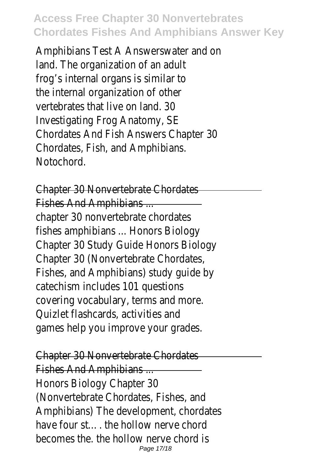Amphibians Test A Answerswater and on land. The organization of an adult frog's internal organs is similar to the internal organization of other vertebrates that live on land. 30 Investigating Frog Anatomy, SE Chordates And Fish Answers Chapter 30 Chordates, Fish, and Amphibians. Notochord.

Chapter 30 Nonvertebrate Chordates Fishes And Amphibians ... chapter 30 nonvertebrate chordates fishes amphibians ... Honors Biology Chapter 30 Study Guide Honors Biology Chapter 30 (Nonvertebrate Chordates, Fishes, and Amphibians) study guide by catechism includes 101 questions covering vocabulary, terms and more. Quizlet flashcards, activities and games help you improve your grades.

Chapter 30 Nonvertebrate Chordates Fishes And Amphibians ... Honors Biology Chapter 30 (Nonvertebrate Chordates, Fishes, and Amphibians) The development, chordates have four st — the hollow nerve chord becomes the. the hollow nerve chord is Page 17/18